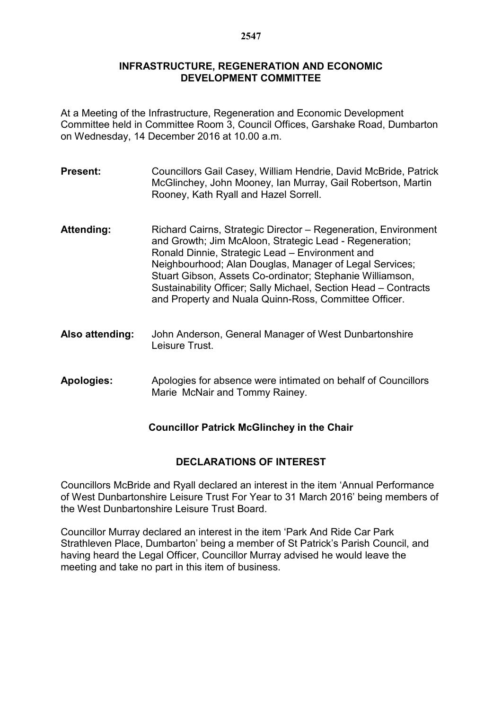#### **INFRASTRUCTURE, REGENERATION AND ECONOMIC DEVELOPMENT COMMITTEE**

At a Meeting of the Infrastructure, Regeneration and Economic Development Committee held in Committee Room 3, Council Offices, Garshake Road, Dumbarton on Wednesday, 14 December 2016 at 10.00 a.m.

- **Present:** Councillors Gail Casey, William Hendrie, David McBride, Patrick McGlinchey, John Mooney, Ian Murray, Gail Robertson, Martin Rooney, Kath Ryall and Hazel Sorrell.
- Attending: Richard Cairns, Strategic Director Regeneration, Environment and Growth; Jim McAloon, Strategic Lead - Regeneration; Ronald Dinnie, Strategic Lead – Environment and Neighbourhood; Alan Douglas, Manager of Legal Services; Stuart Gibson, Assets Co-ordinator; Stephanie Williamson, Sustainability Officer; Sally Michael, Section Head – Contracts and Property and Nuala Quinn-Ross, Committee Officer.
- **Also attending:** John Anderson, General Manager of West Dunbartonshire Leisure Trust.
- **Apologies:** Apologies for absence were intimated on behalf of Councillors Marie McNair and Tommy Rainey.

# **Councillor Patrick McGlinchey in the Chair**

#### **DECLARATIONS OF INTEREST**

Councillors McBride and Ryall declared an interest in the item 'Annual Performance of West Dunbartonshire Leisure Trust For Year to 31 March 2016' being members of the West Dunbartonshire Leisure Trust Board.

Councillor Murray declared an interest in the item 'Park And Ride Car Park Strathleven Place, Dumbarton' being a member of St Patrick's Parish Council, and having heard the Legal Officer, Councillor Murray advised he would leave the meeting and take no part in this item of business.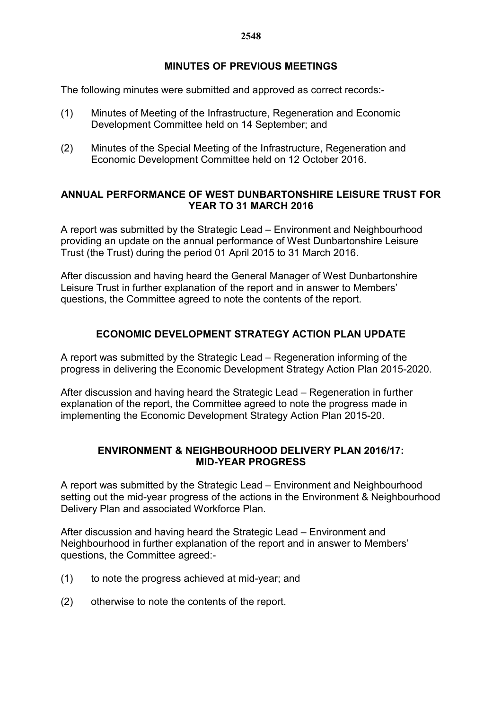### **MINUTES OF PREVIOUS MEETINGS**

The following minutes were submitted and approved as correct records:-

- (1) Minutes of Meeting of the Infrastructure, Regeneration and Economic Development Committee held on 14 September; and
- (2) Minutes of the Special Meeting of the Infrastructure, Regeneration and Economic Development Committee held on 12 October 2016.

### **ANNUAL PERFORMANCE OF WEST DUNBARTONSHIRE LEISURE TRUST FOR YEAR TO 31 MARCH 2016**

A report was submitted by the Strategic Lead – Environment and Neighbourhood providing an update on the annual performance of West Dunbartonshire Leisure Trust (the Trust) during the period 01 April 2015 to 31 March 2016.

After discussion and having heard the General Manager of West Dunbartonshire Leisure Trust in further explanation of the report and in answer to Members' questions, the Committee agreed to note the contents of the report.

# **ECONOMIC DEVELOPMENT STRATEGY ACTION PLAN UPDATE**

A report was submitted by the Strategic Lead – Regeneration informing of the progress in delivering the Economic Development Strategy Action Plan 2015-2020.

After discussion and having heard the Strategic Lead – Regeneration in further explanation of the report, the Committee agreed to note the progress made in implementing the Economic Development Strategy Action Plan 2015-20.

### **ENVIRONMENT & NEIGHBOURHOOD DELIVERY PLAN 2016/17: MID-YEAR PROGRESS**

A report was submitted by the Strategic Lead – Environment and Neighbourhood setting out the mid-year progress of the actions in the Environment & Neighbourhood Delivery Plan and associated Workforce Plan.

After discussion and having heard the Strategic Lead – Environment and Neighbourhood in further explanation of the report and in answer to Members' questions, the Committee agreed:-

- (1) to note the progress achieved at mid-year; and
- (2) otherwise to note the contents of the report.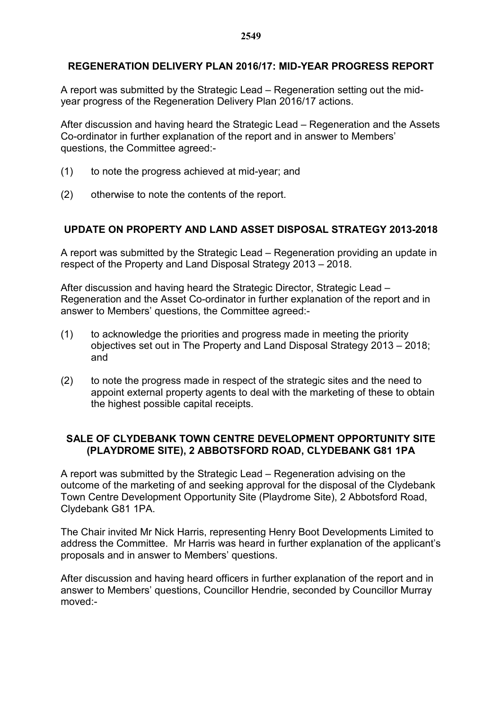### **REGENERATION DELIVERY PLAN 2016/17: MID-YEAR PROGRESS REPORT**

A report was submitted by the Strategic Lead – Regeneration setting out the midyear progress of the Regeneration Delivery Plan 2016/17 actions.

After discussion and having heard the Strategic Lead – Regeneration and the Assets Co-ordinator in further explanation of the report and in answer to Members' questions, the Committee agreed:-

- (1) to note the progress achieved at mid-year; and
- (2) otherwise to note the contents of the report.

# **UPDATE ON PROPERTY AND LAND ASSET DISPOSAL STRATEGY 2013-2018**

A report was submitted by the Strategic Lead – Regeneration providing an update in respect of the Property and Land Disposal Strategy 2013 – 2018.

After discussion and having heard the Strategic Director, Strategic Lead – Regeneration and the Asset Co-ordinator in further explanation of the report and in answer to Members' questions, the Committee agreed:-

- (1) to acknowledge the priorities and progress made in meeting the priority objectives set out in The Property and Land Disposal Strategy 2013 – 2018; and
- (2) to note the progress made in respect of the strategic sites and the need to appoint external property agents to deal with the marketing of these to obtain the highest possible capital receipts.

### **SALE OF CLYDEBANK TOWN CENTRE DEVELOPMENT OPPORTUNITY SITE (PLAYDROME SITE), 2 ABBOTSFORD ROAD, CLYDEBANK G81 1PA**

A report was submitted by the Strategic Lead – Regeneration advising on the outcome of the marketing of and seeking approval for the disposal of the Clydebank Town Centre Development Opportunity Site (Playdrome Site), 2 Abbotsford Road, Clydebank G81 1PA.

The Chair invited Mr Nick Harris, representing Henry Boot Developments Limited to address the Committee. Mr Harris was heard in further explanation of the applicant's proposals and in answer to Members' questions.

After discussion and having heard officers in further explanation of the report and in answer to Members' questions, Councillor Hendrie, seconded by Councillor Murray moved:-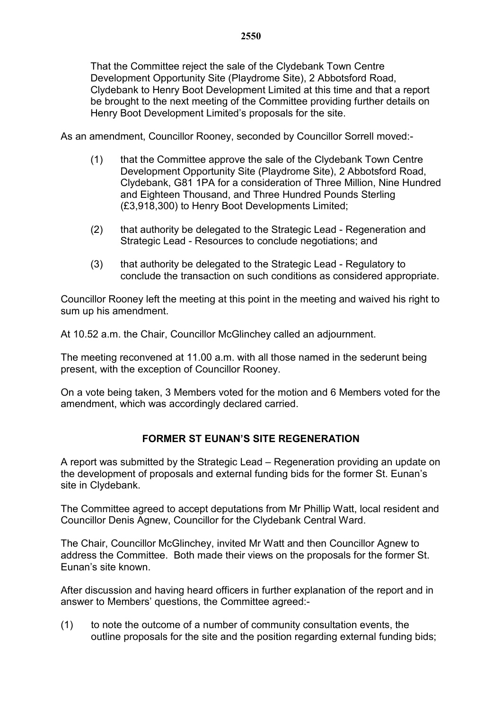That the Committee reject the sale of the Clydebank Town Centre Development Opportunity Site (Playdrome Site), 2 Abbotsford Road, Clydebank to Henry Boot Development Limited at this time and that a report be brought to the next meeting of the Committee providing further details on Henry Boot Development Limited's proposals for the site.

As an amendment, Councillor Rooney, seconded by Councillor Sorrell moved:-

- (1) that the Committee approve the sale of the Clydebank Town Centre Development Opportunity Site (Playdrome Site), 2 Abbotsford Road, Clydebank, G81 1PA for a consideration of Three Million, Nine Hundred and Eighteen Thousand, and Three Hundred Pounds Sterling (£3,918,300) to Henry Boot Developments Limited;
- (2) that authority be delegated to the Strategic Lead Regeneration and Strategic Lead - Resources to conclude negotiations; and
- (3) that authority be delegated to the Strategic Lead Regulatory to conclude the transaction on such conditions as considered appropriate.

Councillor Rooney left the meeting at this point in the meeting and waived his right to sum up his amendment.

At 10.52 a.m. the Chair, Councillor McGlinchey called an adjournment.

The meeting reconvened at 11.00 a.m. with all those named in the sederunt being present, with the exception of Councillor Rooney.

On a vote being taken, 3 Members voted for the motion and 6 Members voted for the amendment, which was accordingly declared carried.

# **FORMER ST EUNAN'S SITE REGENERATION**

A report was submitted by the Strategic Lead – Regeneration providing an update on the development of proposals and external funding bids for the former St. Eunan's site in Clydebank.

The Committee agreed to accept deputations from Mr Phillip Watt, local resident and Councillor Denis Agnew, Councillor for the Clydebank Central Ward.

The Chair, Councillor McGlinchey, invited Mr Watt and then Councillor Agnew to address the Committee. Both made their views on the proposals for the former St. Eunan's site known.

After discussion and having heard officers in further explanation of the report and in answer to Members' questions, the Committee agreed:-

(1) to note the outcome of a number of community consultation events, the outline proposals for the site and the position regarding external funding bids;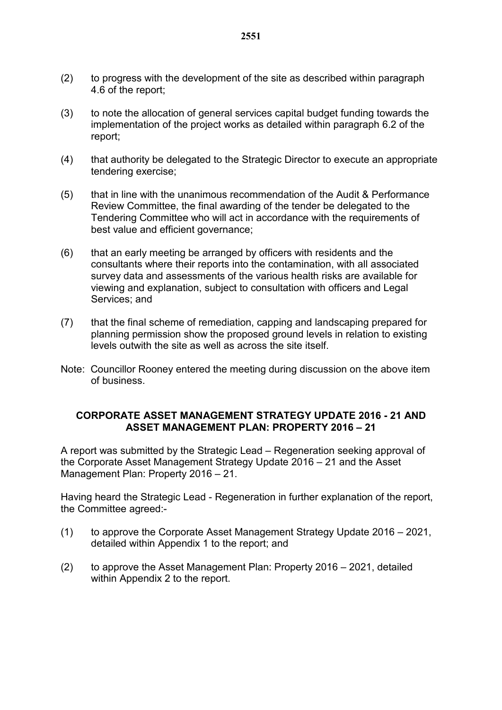- (2) to progress with the development of the site as described within paragraph 4.6 of the report;
- (3) to note the allocation of general services capital budget funding towards the implementation of the project works as detailed within paragraph 6.2 of the report;
- (4) that authority be delegated to the Strategic Director to execute an appropriate tendering exercise;
- (5) that in line with the unanimous recommendation of the Audit & Performance Review Committee, the final awarding of the tender be delegated to the Tendering Committee who will act in accordance with the requirements of best value and efficient governance;
- (6) that an early meeting be arranged by officers with residents and the consultants where their reports into the contamination, with all associated survey data and assessments of the various health risks are available for viewing and explanation, subject to consultation with officers and Legal Services; and
- (7) that the final scheme of remediation, capping and landscaping prepared for planning permission show the proposed ground levels in relation to existing levels outwith the site as well as across the site itself.
- Note: Councillor Rooney entered the meeting during discussion on the above item of business.

#### **CORPORATE ASSET MANAGEMENT STRATEGY UPDATE 2016 - 21 AND ASSET MANAGEMENT PLAN: PROPERTY 2016 – 21**

A report was submitted by the Strategic Lead – Regeneration seeking approval of the Corporate Asset Management Strategy Update 2016 – 21 and the Asset Management Plan: Property 2016 – 21.

Having heard the Strategic Lead - Regeneration in further explanation of the report, the Committee agreed:-

- (1) to approve the Corporate Asset Management Strategy Update 2016 2021, detailed within Appendix 1 to the report; and
- (2) to approve the Asset Management Plan: Property 2016 2021, detailed within Appendix 2 to the report.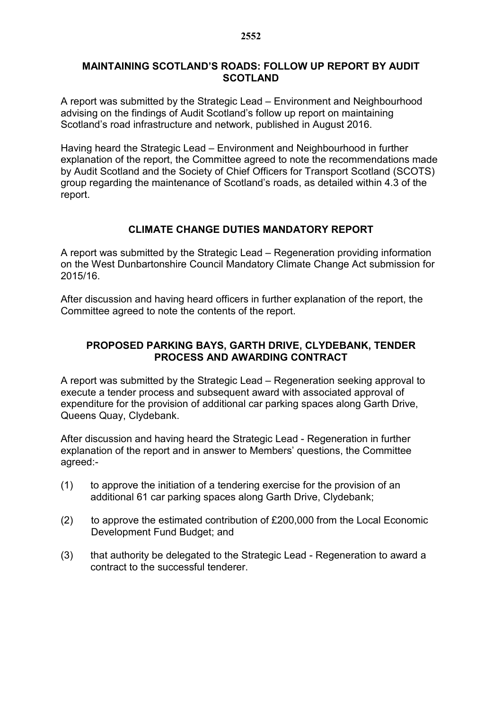#### **MAINTAINING SCOTLAND'S ROADS: FOLLOW UP REPORT BY AUDIT SCOTLAND**

A report was submitted by the Strategic Lead – Environment and Neighbourhood advising on the findings of Audit Scotland's follow up report on maintaining Scotland's road infrastructure and network, published in August 2016.

Having heard the Strategic Lead – Environment and Neighbourhood in further explanation of the report, the Committee agreed to note the recommendations made by Audit Scotland and the Society of Chief Officers for Transport Scotland (SCOTS) group regarding the maintenance of Scotland's roads, as detailed within 4.3 of the report.

### **CLIMATE CHANGE DUTIES MANDATORY REPORT**

A report was submitted by the Strategic Lead – Regeneration providing information on the West Dunbartonshire Council Mandatory Climate Change Act submission for 2015/16.

After discussion and having heard officers in further explanation of the report, the Committee agreed to note the contents of the report.

### **PROPOSED PARKING BAYS, GARTH DRIVE, CLYDEBANK, TENDER PROCESS AND AWARDING CONTRACT**

A report was submitted by the Strategic Lead – Regeneration seeking approval to execute a tender process and subsequent award with associated approval of expenditure for the provision of additional car parking spaces along Garth Drive, Queens Quay, Clydebank.

After discussion and having heard the Strategic Lead - Regeneration in further explanation of the report and in answer to Members' questions, the Committee agreed:-

- (1) to approve the initiation of a tendering exercise for the provision of an additional 61 car parking spaces along Garth Drive, Clydebank;
- (2) to approve the estimated contribution of £200,000 from the Local Economic Development Fund Budget; and
- (3) that authority be delegated to the Strategic Lead Regeneration to award a contract to the successful tenderer.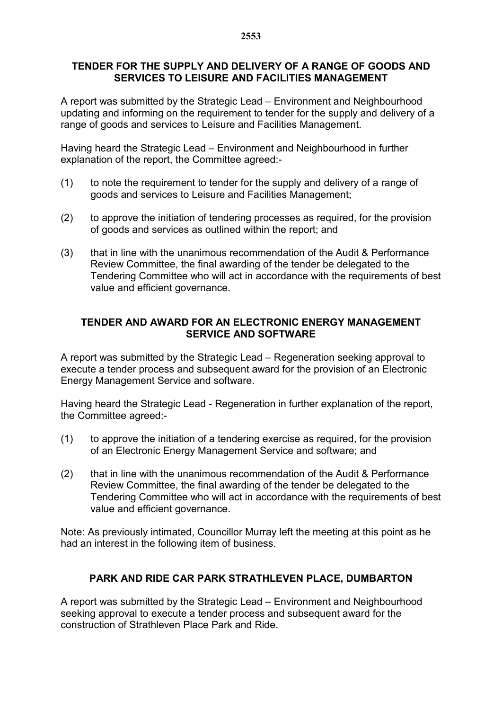#### **TENDER FOR THE SUPPLY AND DELIVERY OF A RANGE OF GOODS AND SERVICES TO LEISURE AND FACILITIES MANAGEMENT**

A report was submitted by the Strategic Lead – Environment and Neighbourhood updating and informing on the requirement to tender for the supply and delivery of a range of goods and services to Leisure and Facilities Management.

Having heard the Strategic Lead – Environment and Neighbourhood in further explanation of the report, the Committee agreed:-

- (1) to note the requirement to tender for the supply and delivery of a range of goods and services to Leisure and Facilities Management;
- (2) to approve the initiation of tendering processes as required, for the provision of goods and services as outlined within the report; and
- (3) that in line with the unanimous recommendation of the Audit & Performance Review Committee, the final awarding of the tender be delegated to the Tendering Committee who will act in accordance with the requirements of best value and efficient governance.

#### **TENDER AND AWARD FOR AN ELECTRONIC ENERGY MANAGEMENT SERVICE AND SOFTWARE**

A report was submitted by the Strategic Lead – Regeneration seeking approval to execute a tender process and subsequent award for the provision of an Electronic Energy Management Service and software.

Having heard the Strategic Lead - Regeneration in further explanation of the report, the Committee agreed:-

- (1) to approve the initiation of a tendering exercise as required, for the provision of an Electronic Energy Management Service and software; and
- (2) that in line with the unanimous recommendation of the Audit & Performance Review Committee, the final awarding of the tender be delegated to the Tendering Committee who will act in accordance with the requirements of best value and efficient governance.

Note: As previously intimated, Councillor Murray left the meeting at this point as he had an interest in the following item of business.

# **PARK AND RIDE CAR PARK STRATHLEVEN PLACE, DUMBARTON**

A report was submitted by the Strategic Lead – Environment and Neighbourhood seeking approval to execute a tender process and subsequent award for the construction of Strathleven Place Park and Ride.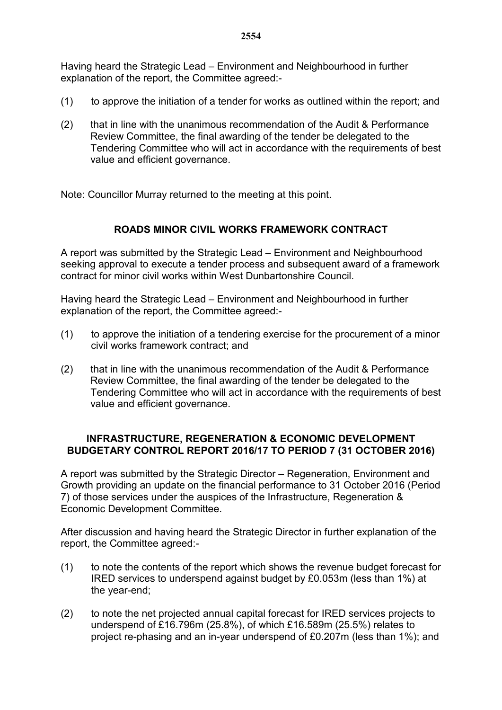Having heard the Strategic Lead – Environment and Neighbourhood in further explanation of the report, the Committee agreed:-

- (1) to approve the initiation of a tender for works as outlined within the report; and
- (2) that in line with the unanimous recommendation of the Audit & Performance Review Committee, the final awarding of the tender be delegated to the Tendering Committee who will act in accordance with the requirements of best value and efficient governance.

Note: Councillor Murray returned to the meeting at this point.

# **ROADS MINOR CIVIL WORKS FRAMEWORK CONTRACT**

A report was submitted by the Strategic Lead – Environment and Neighbourhood seeking approval to execute a tender process and subsequent award of a framework contract for minor civil works within West Dunbartonshire Council.

Having heard the Strategic Lead – Environment and Neighbourhood in further explanation of the report, the Committee agreed:-

- (1) to approve the initiation of a tendering exercise for the procurement of a minor civil works framework contract; and
- (2) that in line with the unanimous recommendation of the Audit & Performance Review Committee, the final awarding of the tender be delegated to the Tendering Committee who will act in accordance with the requirements of best value and efficient governance.

#### **INFRASTRUCTURE, REGENERATION & ECONOMIC DEVELOPMENT BUDGETARY CONTROL REPORT 2016/17 TO PERIOD 7 (31 OCTOBER 2016)**

A report was submitted by the Strategic Director – Regeneration, Environment and Growth providing an update on the financial performance to 31 October 2016 (Period 7) of those services under the auspices of the Infrastructure, Regeneration & Economic Development Committee.

After discussion and having heard the Strategic Director in further explanation of the report, the Committee agreed:-

- (1) to note the contents of the report which shows the revenue budget forecast for IRED services to underspend against budget by £0.053m (less than 1%) at the year-end;
- (2) to note the net projected annual capital forecast for IRED services projects to underspend of £16.796m (25.8%), of which £16.589m (25.5%) relates to project re-phasing and an in-year underspend of £0.207m (less than 1%); and